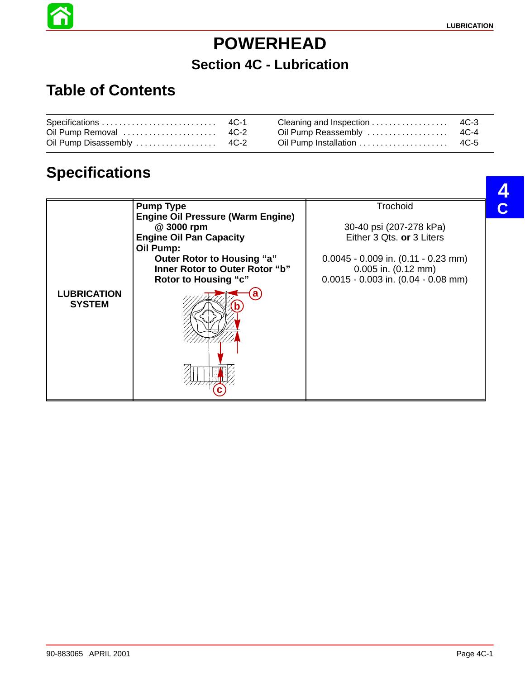# **POWERHEAD**

#### **Section 4C - Lubrication**

# **Table of Contents**

6

|--|--|--|--|

# **Specifications**

|                                     | <b>Pump Type</b>                         | Trochoid                                |
|-------------------------------------|------------------------------------------|-----------------------------------------|
|                                     | <b>Engine Oil Pressure (Warm Engine)</b> |                                         |
|                                     | @ 3000 rpm                               | 30-40 psi (207-278 kPa)                 |
|                                     | <b>Engine Oil Pan Capacity</b>           | Either 3 Qts. or 3 Liters               |
|                                     |                                          |                                         |
|                                     | Oil Pump:                                |                                         |
|                                     | Outer Rotor to Housing "a"               | $0.0045 - 0.009$ in. $(0.11 - 0.23$ mm) |
|                                     | Inner Rotor to Outer Rotor "b"           | $0.005$ in. $(0.12$ mm)                 |
|                                     | <b>Rotor to Housing "c"</b>              | $0.0015 - 0.003$ in. $(0.04 - 0.08$ mm) |
| <b>LUBRICATION</b><br><b>SYSTEM</b> |                                          |                                         |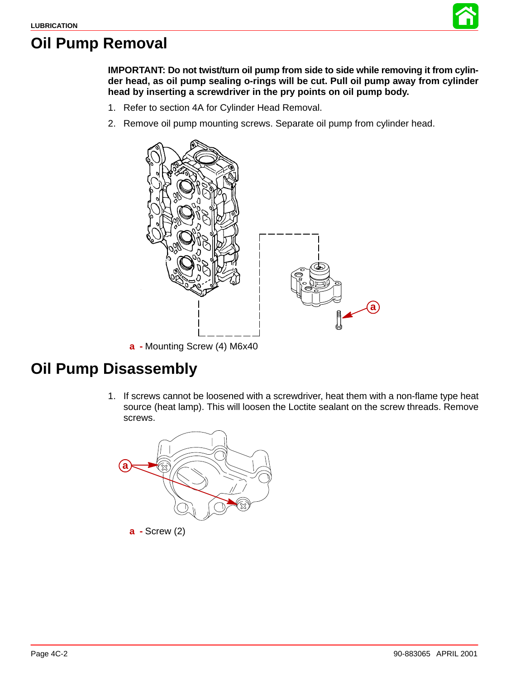

#### **Oil Pump Removal**

**IMPORTANT: Do not twist/turn oil pump from side to side while removing it from cylinder head, as oil pump sealing o-rings will be cut. Pull oil pump away from cylinder head by inserting a screwdriver in the pry points on oil pump body.**

- 1. Refer to section 4A for Cylinder Head Removal.
- 2. Remove oil pump mounting screws. Separate oil pump from cylinder head.



**a -** Mounting Screw (4) M6x40

#### **Oil Pump Disassembly**

1. If screws cannot be loosened with a screwdriver, heat them with a non-flame type heat source (heat lamp). This will loosen the Loctite sealant on the screw threads. Remove screws.

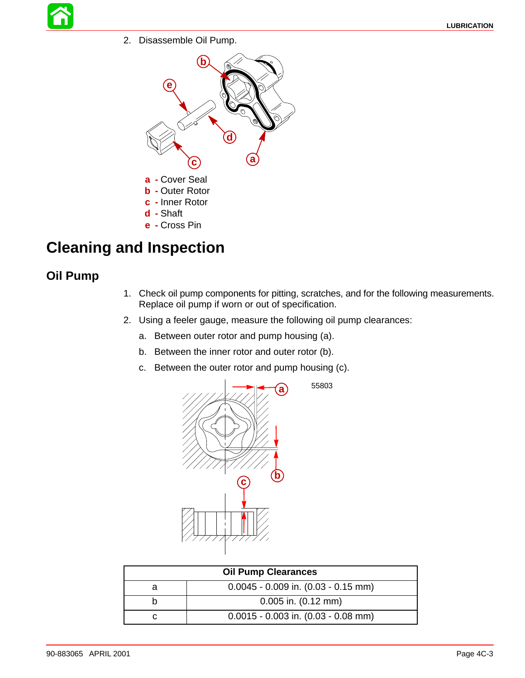2. Disassemble Oil Pump.



### **Cleaning and Inspection**

#### **Oil Pump**

- 1. Check oil pump components for pitting, scratches, and for the following measurements. Replace oil pump if worn or out of specification.
- 2. Using a feeler gauge, measure the following oil pump clearances:
	- a. Between outer rotor and pump housing (a).
	- b. Between the inner rotor and outer rotor (b).
	- c. Between the outer rotor and pump housing (c).



| <b>Oil Pump Clearances</b> |                                         |  |
|----------------------------|-----------------------------------------|--|
| a                          | $0.0045 - 0.009$ in. $(0.03 - 0.15$ mm) |  |
|                            | $0.005$ in. $(0.12$ mm)                 |  |
|                            | $0.0015 - 0.003$ in. $(0.03 - 0.08$ mm) |  |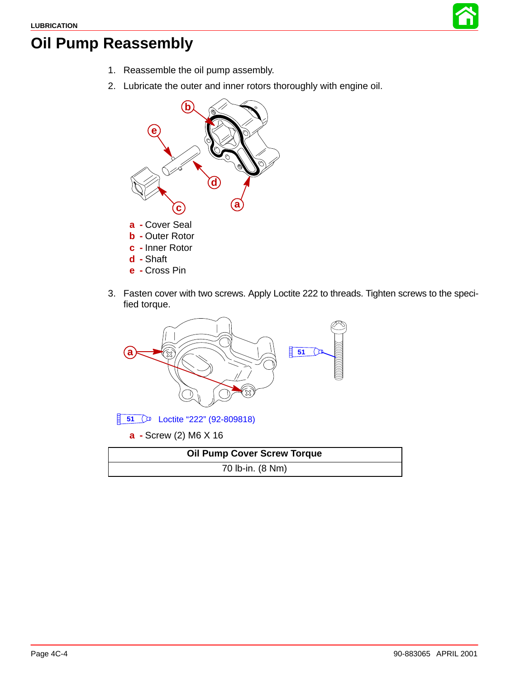

## <span id="page-3-0"></span>**Oil Pump Reassembly**

- 1. Reassemble the oil pump assembly.
- 2. Lubricate the outer and inner rotors thoroughly with engine oil.



3. Fasten cover with two screws. Apply Loctite 222 to threads. Tighten screws to the specified torque.